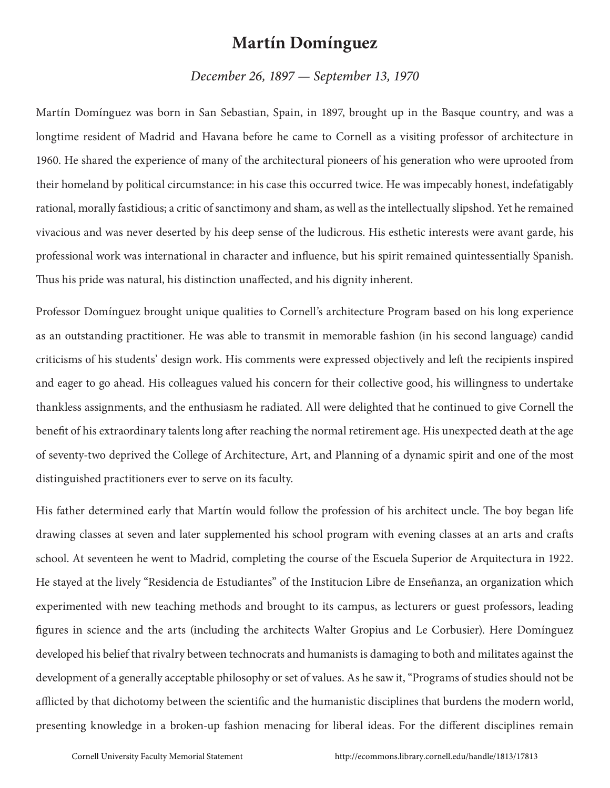## **Martín Domínguez**

*December 26, 1897 — September 13, 1970*

Martín Domínguez was born in San Sebastian, Spain, in 1897, brought up in the Basque country, and was a longtime resident of Madrid and Havana before he came to Cornell as a visiting professor of architecture in 1960. He shared the experience of many of the architectural pioneers of his generation who were uprooted from their homeland by political circumstance: in his case this occurred twice. He was impecably honest, indefatigably rational, morally fastidious; a critic of sanctimony and sham, as well as the intellectually slipshod. Yet he remained vivacious and was never deserted by his deep sense of the ludicrous. His esthetic interests were avant garde, his professional work was international in character and influence, but his spirit remained quintessentially Spanish. Thus his pride was natural, his distinction unaffected, and his dignity inherent.

Professor Domínguez brought unique qualities to Cornell's architecture Program based on his long experience as an outstanding practitioner. He was able to transmit in memorable fashion (in his second language) candid criticisms of his students' design work. His comments were expressed objectively and left the recipients inspired and eager to go ahead. His colleagues valued his concern for their collective good, his willingness to undertake thankless assignments, and the enthusiasm he radiated. All were delighted that he continued to give Cornell the benefit of his extraordinary talents long after reaching the normal retirement age. His unexpected death at the age of seventy-two deprived the College of Architecture, Art, and Planning of a dynamic spirit and one of the most distinguished practitioners ever to serve on its faculty.

His father determined early that Martín would follow the profession of his architect uncle. The boy began life drawing classes at seven and later supplemented his school program with evening classes at an arts and crafts school. At seventeen he went to Madrid, completing the course of the Escuela Superior de Arquitectura in 1922. He stayed at the lively "Residencia de Estudiantes" of the Institucion Libre de Enseñanza, an organization which experimented with new teaching methods and brought to its campus, as lecturers or guest professors, leading figures in science and the arts (including the architects Walter Gropius and Le Corbusier). Here Domínguez developed his belief that rivalry between technocrats and humanists is damaging to both and militates against the development of a generally acceptable philosophy or set of values. As he saw it, "Programs of studies should not be afflicted by that dichotomy between the scientific and the humanistic disciplines that burdens the modern world, presenting knowledge in a broken-up fashion menacing for liberal ideas. For the different disciplines remain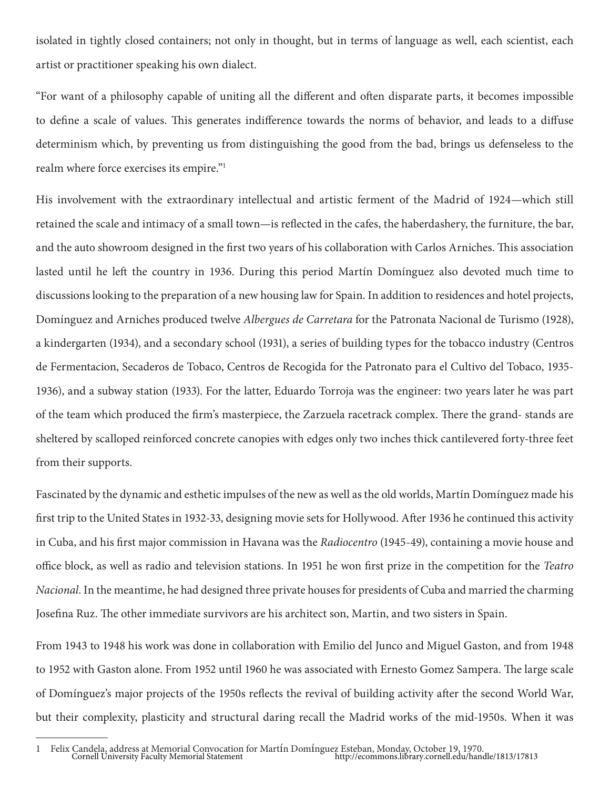isolated in tightly closed containers; not only in thought, but in terms of language as well, each scientist, each artist or practitioner speaking his own dialect.

"For want of a philosophy capable of uniting all the different and often disparate parts, it becomes impossible to define a scale of values. This generates indifference towards the norms of behavior, and leads to a diffuse determinism which, by preventing us from distinguishing the good from the bad, brings us defenseless to the realm where force exercises its empire."1

His involvement with the extraordinary intellectual and artistic ferment of the Madrid of 1924—which still retained the scale and intimacy of a small town—is reflected in the cafes, the haberdashery, the furniture, the bar, and the auto showroom designed in the first two years of his collaboration with Carlos Arniches. This association lasted until he left the country in 1936. During this period Martín Domínguez also devoted much time to discussions looking to the preparation of a new housing law for Spain. In addition to residences and hotel projects, Domínguez and Arniches produced twelve *Albergues de Carretara* for the Patronata Nacional de Turismo (1928), a kindergarten (1934), and a secondary school (1931), a series of building types for the tobacco industry (Centros de Fermentacion, Secaderos de Tobaco, Centros de Recogida for the Patronato para el Cultivo del Tobaco, 1935- 1936), and a subway station (1933). For the latter, Eduardo Torroja was the engineer: two years later he was part of the team which produced the firm's masterpiece, the Zarzuela racetrack complex. There the grand- stands are sheltered by scalloped reinforced concrete canopies with edges only two inches thick cantilevered forty-three feet from their supports.

Fascinated by the dynamic and esthetic impulses of the new as well as the old worlds, Martín Domínguez made his first trip to the United States in 1932-33, designing movie sets for Hollywood. After 1936 he continued this activity in Cuba, and his first major commission in Havana was the *Radiocentro* (1945-49), containing a movie house and office block, as well as radio and television stations. In 1951 he won first prize in the competition for the *Teatro Nacional*. In the meantime, he had designed three private houses for presidents of Cuba and married the charming Josefina Ruz. The other immediate survivors are his architect son, Martin, and two sisters in Spain.

From 1943 to 1948 his work was done in collaboration with Emilio del Junco and Miguel Gaston, and from 1948 to 1952 with Gaston alone. From 1952 until 1960 he was associated with Ernesto Gomez Sampera. The large scale of Domínguez's major projects of the 1950s reflects the revival of building activity after the second World War, but their complexity, plasticity and structural daring recall the Madrid works of the mid-1950s. When it was

<sup>1</sup> Felix Candela, address at Memorial Convocation for Martín Domínguez Esteban, Monday, October 19, 1970. Cornell University Faculty Memorial Statement http://ecommons.library.cornell.edu/handle/1813/17813